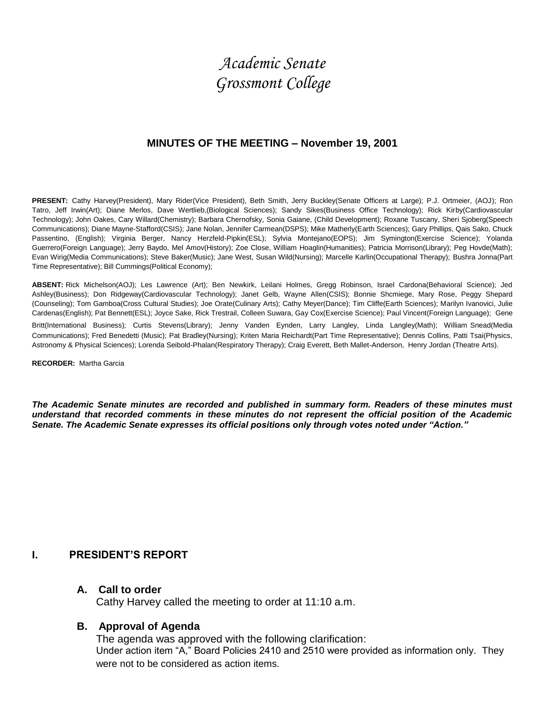# *Academic Senate Grossmont College*

#### **MINUTES OF THE MEETING – November 19, 2001**

**PRESENT:** Cathy Harvey(President), Mary Rider(Vice President), Beth Smith, Jerry Buckley(Senate Officers at Large); P.J. Ortmeier, (AOJ); Ron Tatro, Jeff Irwin(Art); Diane Merlos, Dave Wertlieb,(Biological Sciences); Sandy Sikes(Business Office Technology); Rick Kirby(Cardiovascular Technology); John Oakes, Cary Willard(Chemistry); Barbara Chernofsky, Sonia Gaiane, (Child Development); Roxane Tuscany, Sheri Sjoberg(Speech Communications); Diane Mayne-Stafford(CSIS); Jane Nolan, Jennifer Carmean(DSPS); Mike Matherly(Earth Sciences); Gary Phillips, Qais Sako, Chuck Passentino, (English); Virginia Berger, Nancy Herzfeld-Pipkin(ESL); Sylvia Montejano(EOPS); Jim Symington(Exercise Science); Yolanda Guerrero(Foreign Language); Jerry Baydo, Mel Amov(History); Zoe Close, William Hoaglin(Humanities); Patricia Morrison(Library); Peg Hovde(Math); Evan Wirig(Media Communications); Steve Baker(Music); Jane West, Susan Wild(Nursing); Marcelle Karlin(Occupational Therapy); Bushra Jonna(Part Time Representative); Bill Cummings(Political Economy);

**ABSENT:** Rick Michelson(AOJ); Les Lawrence (Art); Ben Newkirk, Leilani Holmes, Gregg Robinson, Israel Cardona(Behavioral Science); Jed Ashley(Business); Don Ridgeway(Cardiovascular Technology); Janet Gelb, Wayne Allen(CSIS); Bonnie Shcmiege, Mary Rose, Peggy Shepard (Counseling); Tom Gamboa(Cross Cultural Studies); Joe Orate(Culinary Arts); Cathy Meyer(Dance); Tim Cliffe(Earth Sciences); Marilyn Ivanovici, Julie Cardenas(English); Pat Bennett(ESL); Joyce Sake, Rick Trestrail, Colleen Suwara, Gay Cox(Exercise Science); Paul Vincent(Foreign Language); Gene Britt(International Business); Curtis Stevens(Library); Jenny Vanden Eynden, Larry Langley, Linda Langley(Math); William Snead(Media Communications); Fred Benedetti (Music); Pat Bradley(Nursing); Kriten Maria Reichardt(Part Time Representative); Dennis Collins, Patti Tsai(Physics, Astronomy & Physical Sciences); Lorenda Seibold-Phalan(Respiratory Therapy); Craig Everett, Beth Mallet-Anderson, Henry Jordan (Theatre Arts).

**RECORDER:** Martha Garcia

*The Academic Senate minutes are recorded and published in summary form. Readers of these minutes must understand that recorded comments in these minutes do not represent the official position of the Academic Senate. The Academic Senate expresses its official positions only through votes noted under "Action."*

#### **I. PRESIDENT'S REPORT**

#### **A. Call to order**

Cathy Harvey called the meeting to order at 11:10 a.m.

#### **B. Approval of Agenda**

The agenda was approved with the following clarification: Under action item "A," Board Policies 2410 and 2510 were provided as information only. They were not to be considered as action items.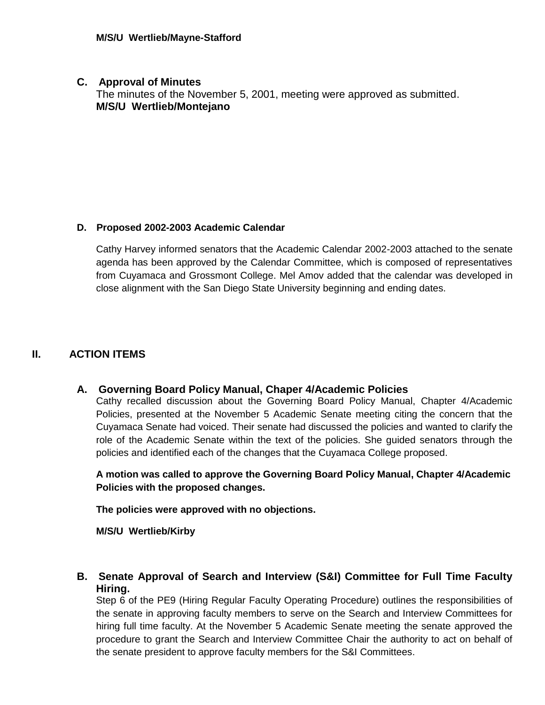### **C. Approval of Minutes**

The minutes of the November 5, 2001, meeting were approved as submitted. **M/S/U Wertlieb/Montejano**

## **D. Proposed 2002-2003 Academic Calendar**

Cathy Harvey informed senators that the Academic Calendar 2002-2003 attached to the senate agenda has been approved by the Calendar Committee, which is composed of representatives from Cuyamaca and Grossmont College. Mel Amov added that the calendar was developed in close alignment with the San Diego State University beginning and ending dates.

## **II. ACTION ITEMS**

## **A. Governing Board Policy Manual, Chaper 4/Academic Policies**

Cathy recalled discussion about the Governing Board Policy Manual, Chapter 4/Academic Policies, presented at the November 5 Academic Senate meeting citing the concern that the Cuyamaca Senate had voiced. Their senate had discussed the policies and wanted to clarify the role of the Academic Senate within the text of the policies. She guided senators through the policies and identified each of the changes that the Cuyamaca College proposed.

**A motion was called to approve the Governing Board Policy Manual, Chapter 4/Academic Policies with the proposed changes.**

**The policies were approved with no objections.**

**M/S/U Wertlieb/Kirby**

**B. Senate Approval of Search and Interview (S&I) Committee for Full Time Faculty Hiring.**

Step 6 of the PE9 (Hiring Regular Faculty Operating Procedure) outlines the responsibilities of the senate in approving faculty members to serve on the Search and Interview Committees for hiring full time faculty. At the November 5 Academic Senate meeting the senate approved the procedure to grant the Search and Interview Committee Chair the authority to act on behalf of the senate president to approve faculty members for the S&I Committees.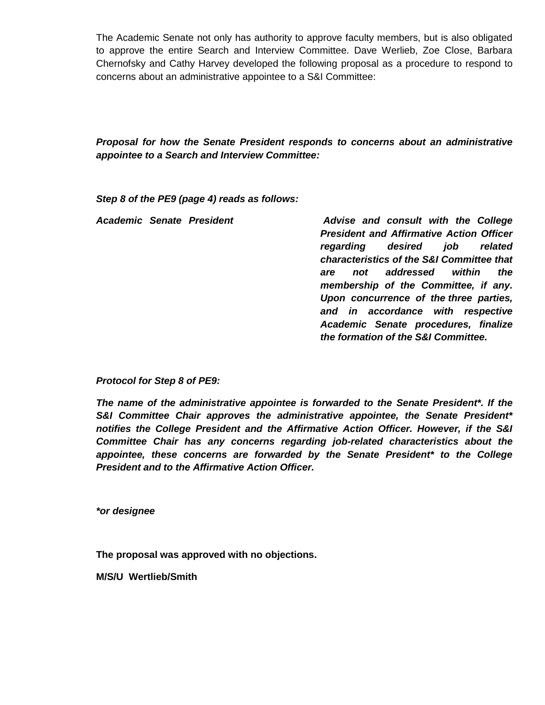The Academic Senate not only has authority to approve faculty members, but is also obligated to approve the entire Search and Interview Committee. Dave Werlieb, Zoe Close, Barbara Chernofsky and Cathy Harvey developed the following proposal as a procedure to respond to concerns about an administrative appointee to a S&I Committee:

*Proposal for how the Senate President responds to concerns about an administrative appointee to a Search and Interview Committee:*

*Step 8 of the PE9 (page 4) reads as follows:*

|  | Advise and consult with the College             |
|--|-------------------------------------------------|
|  | <b>President and Affirmative Action Officer</b> |
|  | regarding desired job related                   |
|  | characteristics of the S&I Committee that       |
|  | <i>the</i><br>not addressed within<br>are       |
|  | membership of the Committee, if any.            |
|  | Upon concurrence of the three parties,          |
|  | and in accordance with respective               |
|  | Academic Senate procedures, finalize            |
|  | the formation of the S&I Committee.             |
|  | <b>Academic Senate President</b>                |

*Protocol for Step 8 of PE9:*

*The name of the administrative appointee is forwarded to the Senate President\*. If the S&I Committee Chair approves the administrative appointee, the Senate President\* notifies the College President and the Affirmative Action Officer. However, if the S&I Committee Chair has any concerns regarding job-related characteristics about the appointee, these concerns are forwarded by the Senate President\* to the College President and to the Affirmative Action Officer.*

*\*or designee*

**The proposal was approved with no objections.**

**M/S/U Wertlieb/Smith**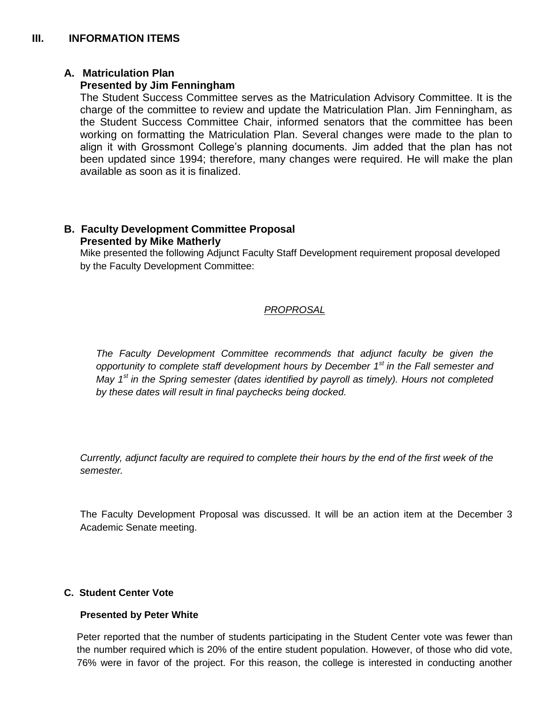# **A. Matriculation Plan**

## **Presented by Jim Fenningham**

The Student Success Committee serves as the Matriculation Advisory Committee. It is the charge of the committee to review and update the Matriculation Plan. Jim Fenningham, as the Student Success Committee Chair, informed senators that the committee has been working on formatting the Matriculation Plan. Several changes were made to the plan to align it with Grossmont College's planning documents. Jim added that the plan has not been updated since 1994; therefore, many changes were required. He will make the plan available as soon as it is finalized.

## **B. Faculty Development Committee Proposal Presented by Mike Matherly**

Mike presented the following Adjunct Faculty Staff Development requirement proposal developed by the Faculty Development Committee:

# *PROPROSAL*

*The Faculty Development Committee recommends that adjunct faculty be given the opportunity to complete staff development hours by December 1st in the Fall semester and May 1st in the Spring semester (dates identified by payroll as timely). Hours not completed by these dates will result in final paychecks being docked.*

*Currently, adjunct faculty are required to complete their hours by the end of the first week of the semester.*

The Faculty Development Proposal was discussed. It will be an action item at the December 3 Academic Senate meeting.

## **C. Student Center Vote**

## **Presented by Peter White**

Peter reported that the number of students participating in the Student Center vote was fewer than the number required which is 20% of the entire student population. However, of those who did vote, 76% were in favor of the project. For this reason, the college is interested in conducting another